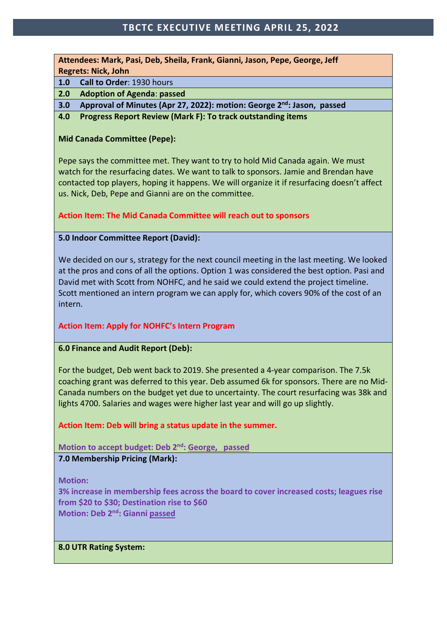## **TBCTC EXECUTIVE MEETING APRIL 25, 2022**

**Attendees: Mark, Pasi, Deb, Sheila, Frank, Gianni, Jason, Pepe, George, Jeff Regrets: Nick, John**

**1.0 Call to Order**: 1930 hours

**2.0 Adoption of Agenda**: **passed**

**3.0 Approval of Minutes (Apr 27, 2022): motion: George 2nd: Jason, passed**

**4.0 Progress Report Review (Mark F): To track outstanding items**

## **Mid Canada Committee (Pepe):**

Pepe says the committee met. They want to try to hold Mid Canada again. We must watch for the resurfacing dates. We want to talk to sponsors. Jamie and Brendan have contacted top players, hoping it happens. We will organize it if resurfacing doesn't affect us. Nick, Deb, Pepe and Gianni are on the committee.

### **Action Item: The Mid Canada Committee will reach out to sponsors**

### **5.0 Indoor Committee Report (David):**

We decided on our s, strategy for the next council meeting in the last meeting. We looked at the pros and cons of all the options. Option 1 was considered the best option. Pasi and David met with Scott from NOHFC, and he said we could extend the project timeline. Scott mentioned an intern program we can apply for, which covers 90% of the cost of an intern.

## **Action Item: Apply for NOHFC's Intern Program**

## **6.0 Finance and Audit Report (Deb):**

For the budget, Deb went back to 2019. She presented a 4-year comparison. The 7.5k coaching grant was deferred to this year. Deb assumed 6k for sponsors. There are no Mid-Canada numbers on the budget yet due to uncertainty. The court resurfacing was 38k and lights 4700. Salaries and wages were higher last year and will go up slightly.

**Action Item: Deb will bring a status update in the summer.**

**Motion to accept budget: Deb 2nd: George, passed**

**7.0 Membership Pricing (Mark):**

**Motion:**

**3% increase in membership fees across the board to cover increased costs; leagues rise from \$20 to \$30; Destination rise to \$60 Motion: Deb 2nd: Gianni passed**

#### **8.0 UTR Rating System:**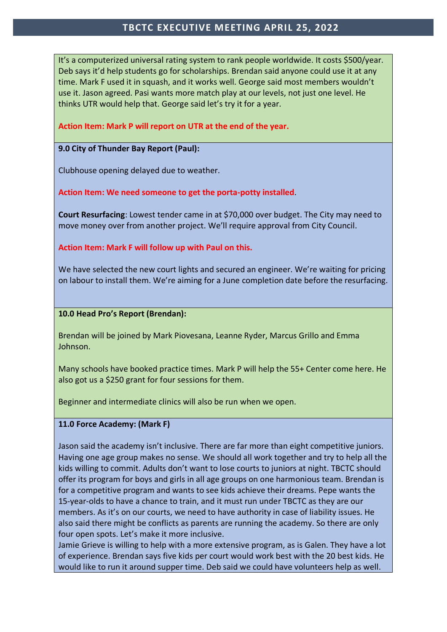## **TBCTC EXECUTIVE MEETING APRIL 25, 2022**

It's a computerized universal rating system to rank people worldwide. It costs \$500/year. Deb says it'd help students go for scholarships. Brendan said anyone could use it at any time. Mark F used it in squash, and it works well. George said most members wouldn't use it. Jason agreed. Pasi wants more match play at our levels, not just one level. He thinks UTR would help that. George said let's try it for a year.

## **Action Item: Mark P will report on UTR at the end of the year.**

## **9.0 City of Thunder Bay Report (Paul):**

Clubhouse opening delayed due to weather.

**Action Item: We need someone to get the porta-potty installed**.

**Court Resurfacing**: Lowest tender came in at \$70,000 over budget. The City may need to move money over from another project. We'll require approval from City Council.

**Action Item: Mark F will follow up with Paul on this.**

We have selected the new court lights and secured an engineer. We're waiting for pricing on labour to install them. We're aiming for a June completion date before the resurfacing.

## **10.0 Head Pro's Report (Brendan):**

Brendan will be joined by Mark Piovesana, Leanne Ryder, Marcus Grillo and Emma Johnson.

Many schools have booked practice times. Mark P will help the 55+ Center come here. He also got us a \$250 grant for four sessions for them.

Beginner and intermediate clinics will also be run when we open.

## **11.0 Force Academy: (Mark F)**

Jason said the academy isn't inclusive. There are far more than eight competitive juniors. Having one age group makes no sense. We should all work together and try to help all the kids willing to commit. Adults don't want to lose courts to juniors at night. TBCTC should offer its program for boys and girls in all age groups on one harmonious team. Brendan is for a competitive program and wants to see kids achieve their dreams. Pepe wants the 15-year-olds to have a chance to train, and it must run under TBCTC as they are our members. As it's on our courts, we need to have authority in case of liability issues. He also said there might be conflicts as parents are running the academy. So there are only four open spots. Let's make it more inclusive.

Jamie Grieve is willing to help with a more extensive program, as is Galen. They have a lot of experience. Brendan says five kids per court would work best with the 20 best kids. He would like to run it around supper time. Deb said we could have volunteers help as well.